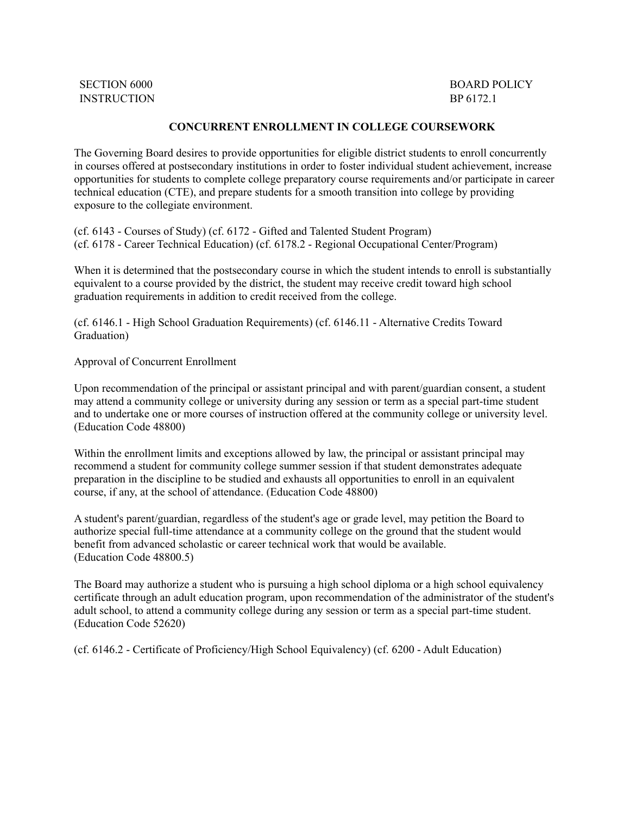INSTRUCTION BP 6172.1

## **CONCURRENT ENROLLMENT IN COLLEGE COURSEWORK**

The Governing Board desires to provide opportunities for eligible district students to enroll concurrently in courses offered at postsecondary institutions in order to foster individual student achievement, increase opportunities for students to complete college preparatory course requirements and/or participate in career technical education (CTE), and prepare students for a smooth transition into college by providing exposure to the collegiate environment.

(cf. 6143 - Courses of Study) (cf. 6172 - Gifted and Talented Student Program) (cf. 6178 - Career Technical Education) (cf. 6178.2 - Regional Occupational Center/Program)

When it is determined that the postsecondary course in which the student intends to enroll is substantially equivalent to a course provided by the district, the student may receive credit toward high school graduation requirements in addition to credit received from the college.

(cf. 6146.1 - High School Graduation Requirements) (cf. 6146.11 - Alternative Credits Toward Graduation)

Approval of Concurrent Enrollment

Upon recommendation of the principal or assistant principal and with parent/guardian consent, a student may attend a community college or university during any session or term as a special part-time student and to undertake one or more courses of instruction offered at the community college or university level. (Education Code 48800)

Within the enrollment limits and exceptions allowed by law, the principal or assistant principal may recommend a student for community college summer session if that student demonstrates adequate preparation in the discipline to be studied and exhausts all opportunities to enroll in an equivalent course, if any, at the school of attendance. (Education Code 48800)

A student's parent/guardian, regardless of the student's age or grade level, may petition the Board to authorize special full-time attendance at a community college on the ground that the student would benefit from advanced scholastic or career technical work that would be available. (Education Code 48800.5)

The Board may authorize a student who is pursuing a high school diploma or a high school equivalency certificate through an adult education program, upon recommendation of the administrator of the student's adult school, to attend a community college during any session or term as a special part-time student. (Education Code 52620)

(cf. 6146.2 - Certificate of Proficiency/High School Equivalency) (cf. 6200 - Adult Education)